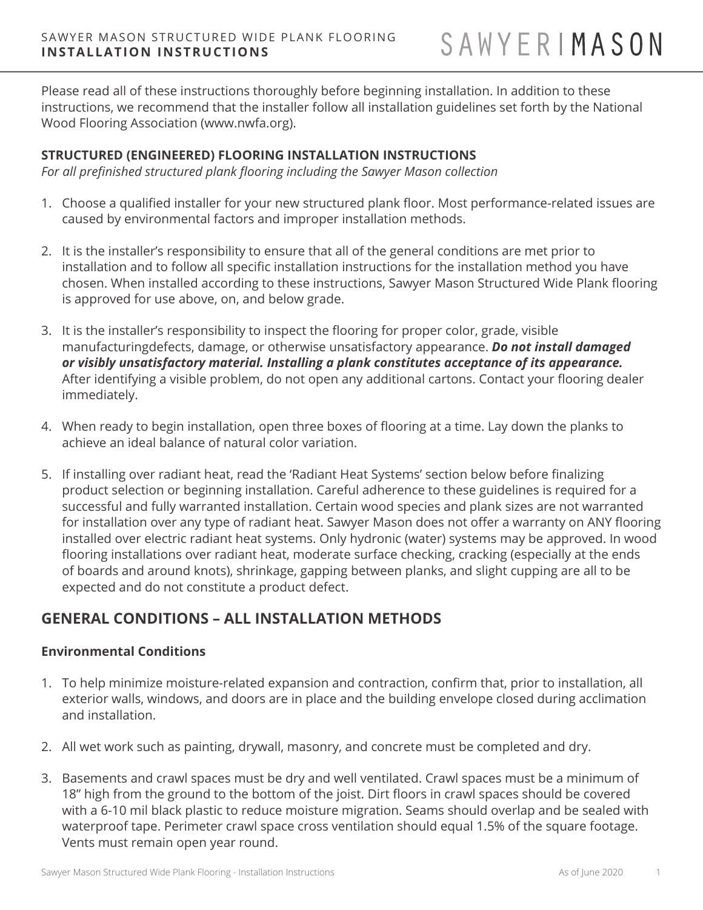Please read all of these instructions thoroughly before beginning installation. In addition to these instructions, we recommend that the installer follow all installation guidelines set forth by the National Wood Flooring Association (www.nwfa.org).

## **STRUCTURED (ENGINEERED) FLOORING INSTALLATION INSTRUCTIONS**

*For all prefinished structured plank flooring including the Sawyer Mason collection* 

- 1. Choose a qualified installer for your new structured plank floor. Most performance-related issues are caused by environmental factors and improper installation methods.
- 2. It is the installer's responsibility to ensure that all of the general conditions are met prior to installation and to follow all specific installation instructions for the installation method you have chosen. When installed according to these instructions, Sawyer Mason Structured Wide Plank flooring is approved for use above, on, and below grade.
- 3. It is the installer's responsibility to inspect the flooring for proper color, grade, visible manufacturingdefects, damage, or otherwise unsatisfactory appearance. *Do not install damaged or visibly unsatisfactory material. Installing a plank constitutes acceptance of its appearance.* After identifying a visible problem, do not open any additional cartons. Contact your flooring dealer immediately.
- 4. When ready to begin installation, open three boxes of flooring at a time. Lay down the planks to achieve an ideal balance of natural color variation.
- 5. If installing over radiant heat, read the 'Radiant Heat Systems' section below before finalizing product selection or beginning installation. Careful adherence to these guidelines is required for a successful and fully warranted installation. Certain wood species and plank sizes are not warranted for installation over any type of radiant heat. Sawyer Mason does not offer a warranty on ANY flooring installed over electric radiant heat systems. Only hydronic (water) systems may be approved. In wood flooring installations over radiant heat, moderate surface checking, cracking (especially at the ends of boards and around knots), shrinkage, gapping between planks, and slight cupping are all to be expected and do not constitute a product defect.

# **GENERAL CONDITIONS – ALL INSTALLATION METHODS**

## **Environmental Conditions**

- 1. To help minimize moisture-related expansion and contraction, confirm that, prior to installation, all exterior walls, windows, and doors are in place and the building envelope closed during acclimation and installation.
- 2. All wet work such as painting, drywall, masonry, and concrete must be completed and dry.
- 3. Basements and crawl spaces must be dry and well ventilated. Crawl spaces must be a minimum of 18" high from the ground to the bottom of the joist. Dirt floors in crawl spaces should be covered with a 6-10 mil black plastic to reduce moisture migration. Seams should overlap and be sealed with waterproof tape. Perimeter crawl space cross ventilation should equal 1.5% of the square footage. Vents must remain open year round.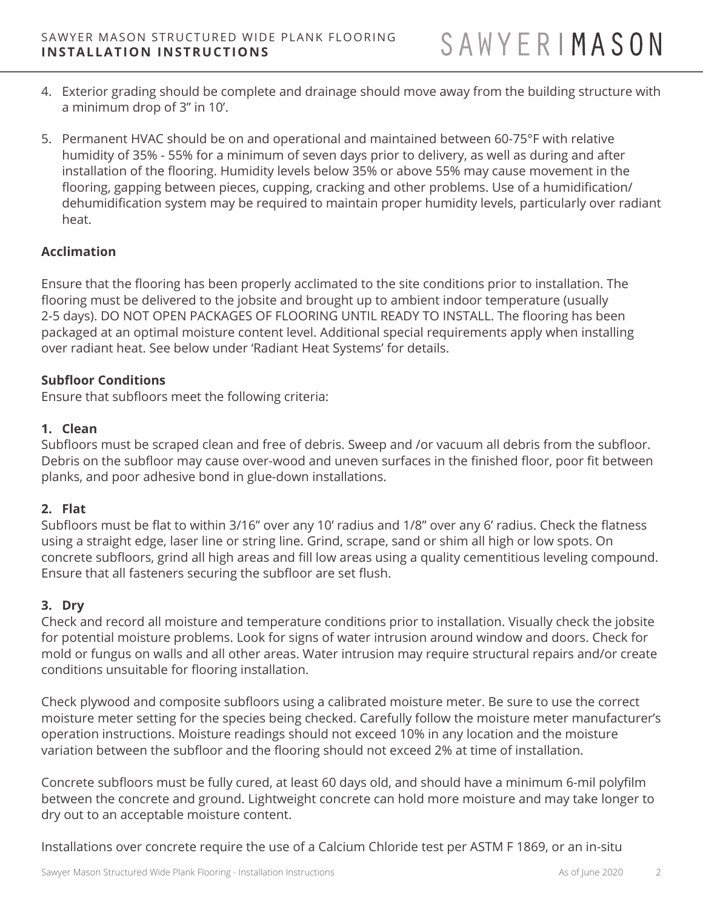- 4. Exterior grading should be complete and drainage should move away from the building structure with a minimum drop of 3" in 10'.
- 5. Permanent HVAC should be on and operational and maintained between 60-75°F with relative humidity of 35% - 55% for a minimum of seven days prior to delivery, as well as during and after installation of the flooring. Humidity levels below 35% or above 55% may cause movement in the flooring, gapping between pieces, cupping, cracking and other problems. Use of a humidification/ dehumidification system may be required to maintain proper humidity levels, particularly over radiant heat.

## **Acclimation**

Ensure that the flooring has been properly acclimated to the site conditions prior to installation. The flooring must be delivered to the jobsite and brought up to ambient indoor temperature (usually 2-5 days). DO NOT OPEN PACKAGES OF FLOORING UNTIL READY TO INSTALL. The flooring has been packaged at an optimal moisture content level. Additional special requirements apply when installing over radiant heat. See below under 'Radiant Heat Systems' for details.

## **Subfloor Conditions**

Ensure that subfloors meet the following criteria:

## **1. Clean**

Subfloors must be scraped clean and free of debris. Sweep and /or vacuum all debris from the subfloor. Debris on the subfloor may cause over-wood and uneven surfaces in the finished floor, poor fit between planks, and poor adhesive bond in glue-down installations.

## **2. Flat**

Subfloors must be flat to within 3/16" over any 10' radius and 1/8" over any 6' radius. Check the flatness using a straight edge, laser line or string line. Grind, scrape, sand or shim all high or low spots. On concrete subfloors, grind all high areas and fill low areas using a quality cementitious leveling compound. Ensure that all fasteners securing the subfloor are set flush.

## **3. Dry**

Check and record all moisture and temperature conditions prior to installation. Visually check the jobsite for potential moisture problems. Look for signs of water intrusion around window and doors. Check for mold or fungus on walls and all other areas. Water intrusion may require structural repairs and/or create conditions unsuitable for flooring installation.

Check plywood and composite subfloors using a calibrated moisture meter. Be sure to use the correct moisture meter setting for the species being checked. Carefully follow the moisture meter manufacturer's operation instructions. Moisture readings should not exceed 10% in any location and the moisture variation between the subfloor and the flooring should not exceed 2% at time of installation.

Concrete subfloors must be fully cured, at least 60 days old, and should have a minimum 6-mil polyfilm between the concrete and ground. Lightweight concrete can hold more moisture and may take longer to dry out to an acceptable moisture content.

Installations over concrete require the use of a Calcium Chloride test per ASTM F 1869, or an in-situ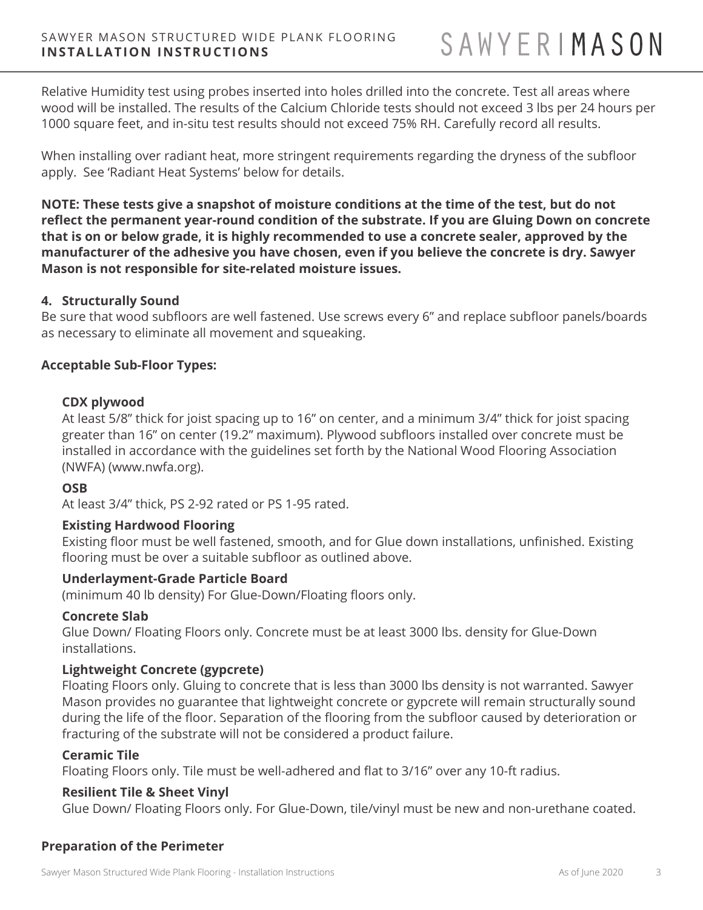Relative Humidity test using probes inserted into holes drilled into the concrete. Test all areas where wood will be installed. The results of the Calcium Chloride tests should not exceed 3 lbs per 24 hours per 1000 square feet, and in-situ test results should not exceed 75% RH. Carefully record all results.

When installing over radiant heat, more stringent requirements regarding the dryness of the subfloor apply. See 'Radiant Heat Systems' below for details.

**NOTE: These tests give a snapshot of moisture conditions at the time of the test, but do not reflect the permanent year-round condition of the substrate. If you are Gluing Down on concrete that is on or below grade, it is highly recommended to use a concrete sealer, approved by the manufacturer of the adhesive you have chosen, even if you believe the concrete is dry. Sawyer Mason is not responsible for site-related moisture issues.** 

#### **4. Structurally Sound**

Be sure that wood subfloors are well fastened. Use screws every 6" and replace subfloor panels/boards as necessary to eliminate all movement and squeaking.

#### **Acceptable Sub-Floor Types:**

#### **CDX plywood**

At least 5/8" thick for joist spacing up to 16" on center, and a minimum 3/4" thick for joist spacing greater than 16" on center (19.2" maximum). Plywood subfloors installed over concrete must be installed in accordance with the guidelines set forth by the National Wood Flooring Association (NWFA) (www.nwfa.org).

#### **OSB**

At least 3/4" thick, PS 2-92 rated or PS 1-95 rated.

#### **Existing Hardwood Flooring**

Existing floor must be well fastened, smooth, and for Glue down installations, unfinished. Existing flooring must be over a suitable subfloor as outlined above.

#### **Underlayment-Grade Particle Board**

(minimum 40 lb density) For Glue-Down/Floating floors only.

#### **Concrete Slab**

Glue Down/ Floating Floors only. Concrete must be at least 3000 lbs. density for Glue-Down installations.

### **Lightweight Concrete (gypcrete)**

Floating Floors only. Gluing to concrete that is less than 3000 lbs density is not warranted. Sawyer Mason provides no guarantee that lightweight concrete or gypcrete will remain structurally sound during the life of the floor. Separation of the flooring from the subfloor caused by deterioration or fracturing of the substrate will not be considered a product failure.

#### **Ceramic Tile**

Floating Floors only. Tile must be well-adhered and flat to 3/16" over any 10-ft radius.

#### **Resilient Tile & Sheet Vinyl**

Glue Down/ Floating Floors only. For Glue-Down, tile/vinyl must be new and non-urethane coated.

## **Preparation of the Perimeter**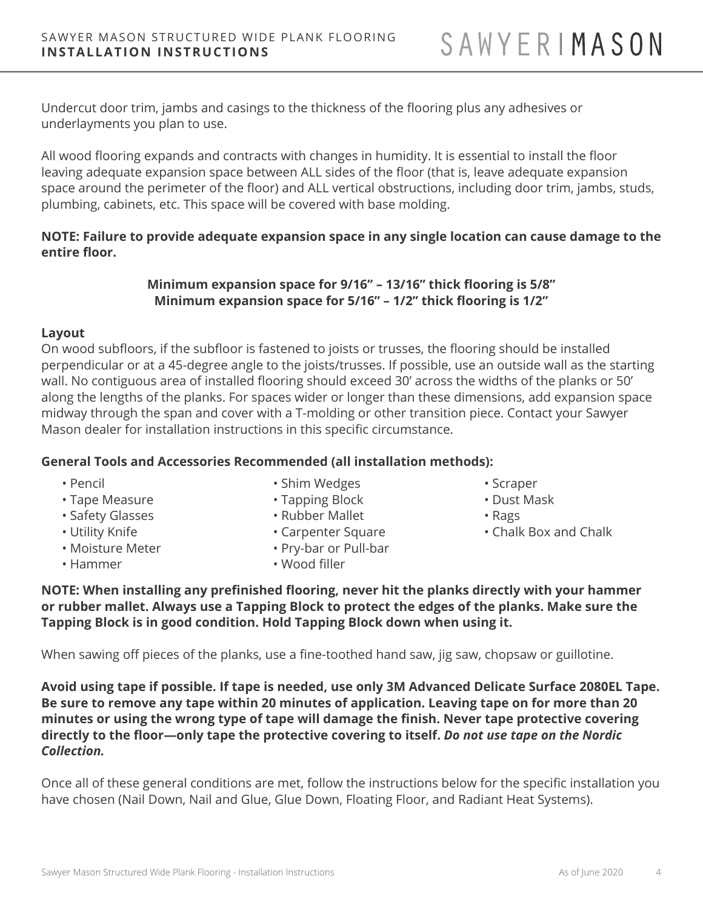Undercut door trim, jambs and casings to the thickness of the flooring plus any adhesives or underlayments you plan to use.

All wood flooring expands and contracts with changes in humidity. It is essential to install the floor leaving adequate expansion space between ALL sides of the floor (that is, leave adequate expansion space around the perimeter of the floor) and ALL vertical obstructions, including door trim, jambs, studs, plumbing, cabinets, etc. This space will be covered with base molding.

## **NOTE: Failure to provide adequate expansion space in any single location can cause damage to the entire floor.**

## **Minimum expansion space for 9/16" – 13/16" thick flooring is 5/8" Minimum expansion space for 5/16" – 1/2" thick flooring is 1/2"**

#### **Layout**

On wood subfloors, if the subfloor is fastened to joists or trusses, the flooring should be installed perpendicular or at a 45-degree angle to the joists/trusses. If possible, use an outside wall as the starting wall. No contiguous area of installed flooring should exceed 30' across the widths of the planks or 50' along the lengths of the planks. For spaces wider or longer than these dimensions, add expansion space midway through the span and cover with a T-molding or other transition piece. Contact your Sawyer Mason dealer for installation instructions in this specific circumstance.

## **General Tools and Accessories Recommended (all installation methods):**

- Pencil
- Tape Measure
- Safety Glasses
- Utility Knife
- Moisture Meter
- Hammer
- Shim Wedges
- Tapping Block
- Rubber Mallet
- Carpenter Square
- Pry-bar or Pull-bar
- Wood filler
- Scraper
- Dust Mask
- Rags
- Chalk Box and Chalk

**NOTE: When installing any prefinished flooring, never hit the planks directly with your hammer or rubber mallet. Always use a Tapping Block to protect the edges of the planks. Make sure the Tapping Block is in good condition. Hold Tapping Block down when using it.**

When sawing off pieces of the planks, use a fine-toothed hand saw, jig saw, chopsaw or guillotine.

**Avoid using tape if possible. If tape is needed, use only 3M Advanced Delicate Surface 2080EL Tape. Be sure to remove any tape within 20 minutes of application. Leaving tape on for more than 20 minutes or using the wrong type of tape will damage the finish. Never tape protective covering directly to the floor—only tape the protective covering to itself.** *Do not use tape on the Nordic Collection.* 

Once all of these general conditions are met, follow the instructions below for the specific installation you have chosen (Nail Down, Nail and Glue, Glue Down, Floating Floor, and Radiant Heat Systems).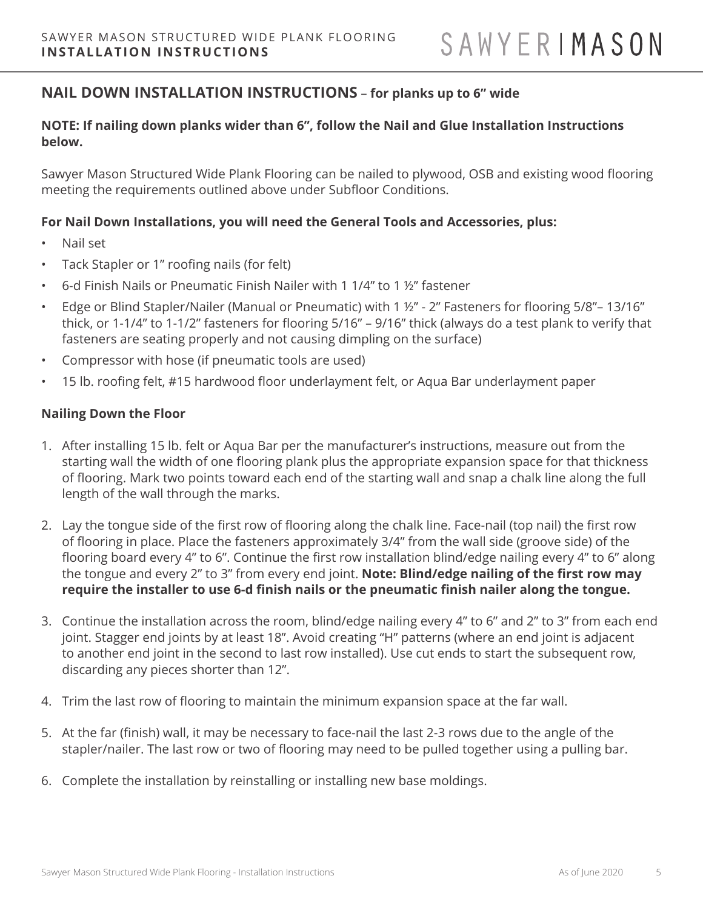## **NAIL DOWN INSTALLATION INSTRUCTIONS** – **for planks up to 6" wide**

### **NOTE: If nailing down planks wider than 6", follow the Nail and Glue Installation Instructions below.**

Sawyer Mason Structured Wide Plank Flooring can be nailed to plywood, OSB and existing wood flooring meeting the requirements outlined above under Subfloor Conditions.

#### **For Nail Down Installations, you will need the General Tools and Accessories, plus:**

- Nail set
- Tack Stapler or 1" roofing nails (for felt)
- 6-d Finish Nails or Pneumatic Finish Nailer with 1 1/4" to 1 ½" fastener
- Edge or Blind Stapler/Nailer (Manual or Pneumatic) with 1 ½" 2" Fasteners for flooring 5/8"– 13/16" thick, or 1-1/4" to 1-1/2" fasteners for flooring 5/16" – 9/16" thick (always do a test plank to verify that fasteners are seating properly and not causing dimpling on the surface)
- Compressor with hose (if pneumatic tools are used)
- 15 lb. roofing felt, #15 hardwood floor underlayment felt, or Aqua Bar underlayment paper

#### **Nailing Down the Floor**

- 1. After installing 15 lb. felt or Aqua Bar per the manufacturer's instructions, measure out from the starting wall the width of one flooring plank plus the appropriate expansion space for that thickness of flooring. Mark two points toward each end of the starting wall and snap a chalk line along the full length of the wall through the marks.
- 2. Lay the tongue side of the first row of flooring along the chalk line. Face-nail (top nail) the first row of flooring in place. Place the fasteners approximately 3/4" from the wall side (groove side) of the flooring board every 4" to 6". Continue the first row installation blind/edge nailing every 4" to 6" along the tongue and every 2" to 3" from every end joint. **Note: Blind/edge nailing of the first row may require the installer to use 6-d finish nails or the pneumatic finish nailer along the tongue.**
- 3. Continue the installation across the room, blind/edge nailing every 4" to 6" and 2" to 3" from each end joint. Stagger end joints by at least 18". Avoid creating "H" patterns (where an end joint is adjacent to another end joint in the second to last row installed). Use cut ends to start the subsequent row, discarding any pieces shorter than 12".
- 4. Trim the last row of flooring to maintain the minimum expansion space at the far wall.
- 5. At the far (finish) wall, it may be necessary to face-nail the last 2-3 rows due to the angle of the stapler/nailer. The last row or two of flooring may need to be pulled together using a pulling bar.
- 6. Complete the installation by reinstalling or installing new base moldings.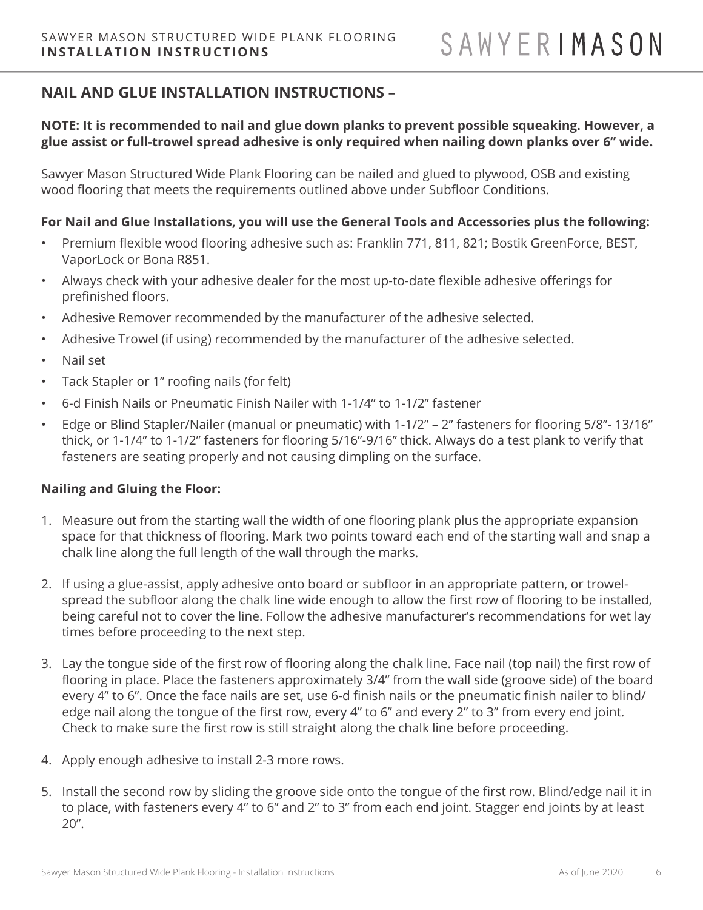# **NAIL AND GLUE INSTALLATION INSTRUCTIONS –**

## **NOTE: It is recommended to nail and glue down planks to prevent possible squeaking. However, a glue assist or full-trowel spread adhesive is only required when nailing down planks over 6" wide.**

Sawyer Mason Structured Wide Plank Flooring can be nailed and glued to plywood, OSB and existing wood flooring that meets the requirements outlined above under Subfloor Conditions.

#### **For Nail and Glue Installations, you will use the General Tools and Accessories plus the following:**

- Premium flexible wood flooring adhesive such as: Franklin 771, 811, 821; Bostik GreenForce, BEST, VaporLock or Bona R851.
- Always check with your adhesive dealer for the most up-to-date flexible adhesive offerings for prefinished floors.
- Adhesive Remover recommended by the manufacturer of the adhesive selected.
- Adhesive Trowel (if using) recommended by the manufacturer of the adhesive selected.
- Nail set
- Tack Stapler or 1" roofing nails (for felt)
- 6-d Finish Nails or Pneumatic Finish Nailer with 1-1/4" to 1-1/2" fastener
- Edge or Blind Stapler/Nailer (manual or pneumatic) with 1-1/2" 2" fasteners for flooring 5/8"- 13/16" thick, or 1-1/4" to 1-1/2" fasteners for flooring 5/16"-9/16" thick. Always do a test plank to verify that fasteners are seating properly and not causing dimpling on the surface.

## **Nailing and Gluing the Floor:**

- 1. Measure out from the starting wall the width of one flooring plank plus the appropriate expansion space for that thickness of flooring. Mark two points toward each end of the starting wall and snap a chalk line along the full length of the wall through the marks.
- 2. If using a glue-assist, apply adhesive onto board or subfloor in an appropriate pattern, or trowelspread the subfloor along the chalk line wide enough to allow the first row of flooring to be installed, being careful not to cover the line. Follow the adhesive manufacturer's recommendations for wet lay times before proceeding to the next step.
- 3. Lay the tongue side of the first row of flooring along the chalk line. Face nail (top nail) the first row of flooring in place. Place the fasteners approximately 3/4" from the wall side (groove side) of the board every 4" to 6". Once the face nails are set, use 6-d finish nails or the pneumatic finish nailer to blind/ edge nail along the tongue of the first row, every 4" to 6" and every 2" to 3" from every end joint. Check to make sure the first row is still straight along the chalk line before proceeding.
- 4. Apply enough adhesive to install 2-3 more rows.
- 5. Install the second row by sliding the groove side onto the tongue of the first row. Blind/edge nail it in to place, with fasteners every 4" to 6" and 2" to 3" from each end joint. Stagger end joints by at least 20".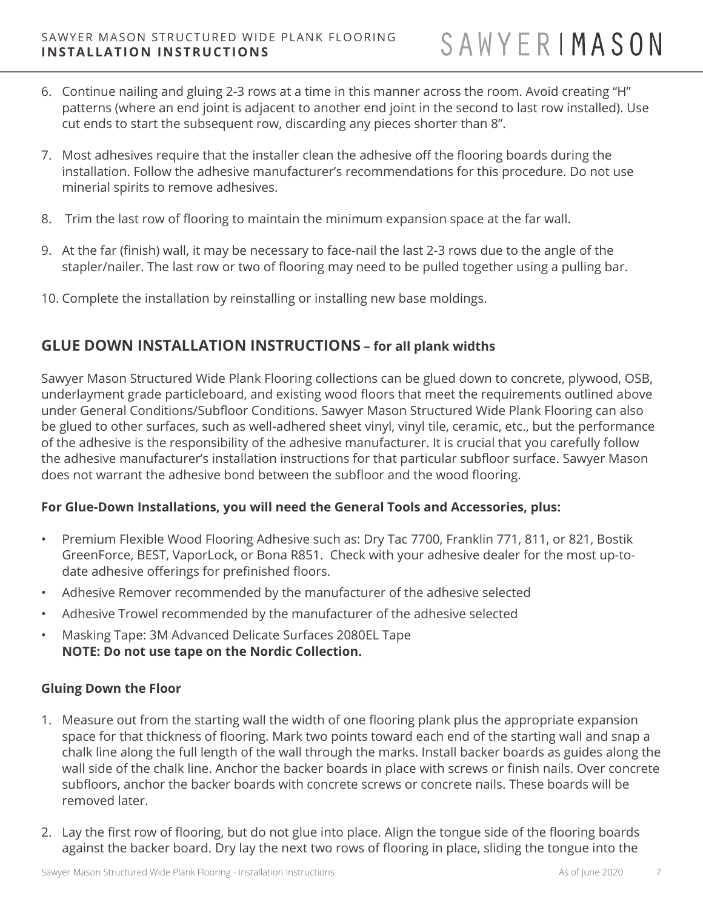- 6. Continue nailing and gluing 2-3 rows at a time in this manner across the room. Avoid creating "H" patterns (where an end joint is adjacent to another end joint in the second to last row installed). Use cut ends to start the subsequent row, discarding any pieces shorter than 8".
- 7. Most adhesives require that the installer clean the adhesive off the flooring boards during the installation. Follow the adhesive manufacturer's recommendations for this procedure. Do not use minerial spirits to remove adhesives.
- 8. Trim the last row of flooring to maintain the minimum expansion space at the far wall.
- 9. At the far (finish) wall, it may be necessary to face-nail the last 2-3 rows due to the angle of the stapler/nailer. The last row or two of flooring may need to be pulled together using a pulling bar.
- 10. Complete the installation by reinstalling or installing new base moldings.

## **GLUE DOWN INSTALLATION INSTRUCTIONS – for all plank widths**

Sawyer Mason Structured Wide Plank Flooring collections can be glued down to concrete, plywood, OSB, underlayment grade particleboard, and existing wood floors that meet the requirements outlined above under General Conditions/Subfloor Conditions. Sawyer Mason Structured Wide Plank Flooring can also be glued to other surfaces, such as well-adhered sheet vinyl, vinyl tile, ceramic, etc., but the performance of the adhesive is the responsibility of the adhesive manufacturer. It is crucial that you carefully follow the adhesive manufacturer's installation instructions for that particular subfloor surface. Sawyer Mason does not warrant the adhesive bond between the subfloor and the wood flooring.

## **For Glue-Down Installations, you will need the General Tools and Accessories, plus:**

- Premium Flexible Wood Flooring Adhesive such as: Dry Tac 7700, Franklin 771, 811, or 821, Bostik GreenForce, BEST, VaporLock, or Bona R851. Check with your adhesive dealer for the most up-todate adhesive offerings for prefinished floors.
- Adhesive Remover recommended by the manufacturer of the adhesive selected
- Adhesive Trowel recommended by the manufacturer of the adhesive selected
- Masking Tape: 3M Advanced Delicate Surfaces 2080EL Tape **NOTE: Do not use tape on the Nordic Collection.**

## **Gluing Down the Floor**

- 1. Measure out from the starting wall the width of one flooring plank plus the appropriate expansion space for that thickness of flooring. Mark two points toward each end of the starting wall and snap a chalk line along the full length of the wall through the marks. Install backer boards as guides along the wall side of the chalk line. Anchor the backer boards in place with screws or finish nails. Over concrete subfloors, anchor the backer boards with concrete screws or concrete nails. These boards will be removed later.
- 2. Lay the first row of flooring, but do not glue into place. Align the tongue side of the flooring boards against the backer board. Dry lay the next two rows of flooring in place, sliding the tongue into the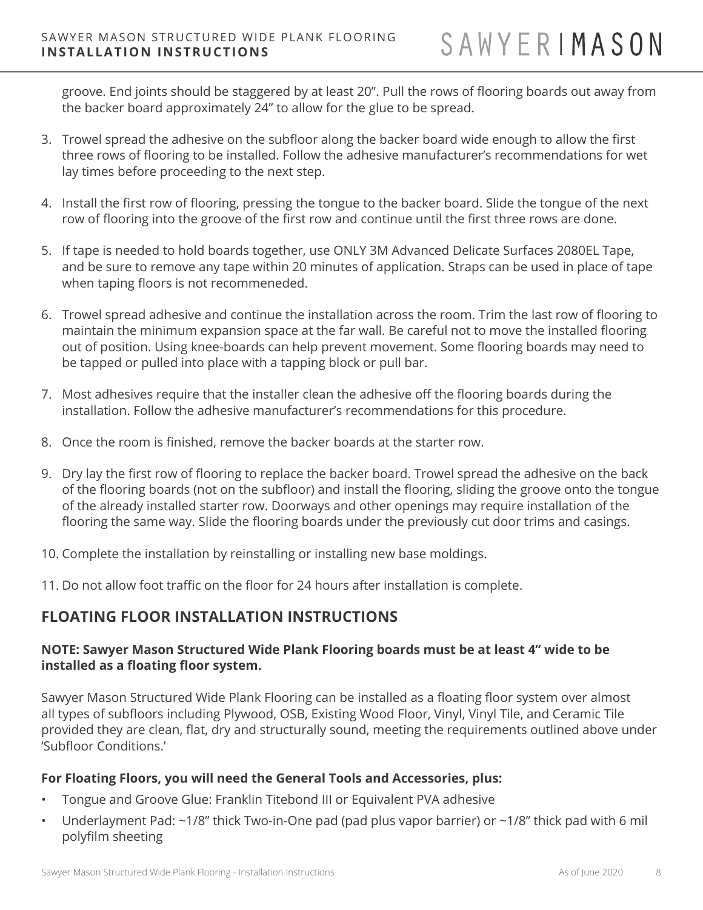groove. End joints should be staggered by at least 20". Pull the rows of flooring boards out away from the backer board approximately 24" to allow for the glue to be spread.

- 3. Trowel spread the adhesive on the subfloor along the backer board wide enough to allow the first three rows of flooring to be installed. Follow the adhesive manufacturer's recommendations for wet lay times before proceeding to the next step.
- 4. Install the first row of flooring, pressing the tongue to the backer board. Slide the tongue of the next row of flooring into the groove of the first row and continue until the first three rows are done.
- 5. If tape is needed to hold boards together, use ONLY 3M Advanced Delicate Surfaces 2080EL Tape, and be sure to remove any tape within 20 minutes of application. Straps can be used in place of tape when taping floors is not recommeneded.
- 6. Trowel spread adhesive and continue the installation across the room. Trim the last row of flooring to maintain the minimum expansion space at the far wall. Be careful not to move the installed flooring out of position. Using knee-boards can help prevent movement. Some flooring boards may need to be tapped or pulled into place with a tapping block or pull bar.
- 7. Most adhesives require that the installer clean the adhesive off the flooring boards during the installation. Follow the adhesive manufacturer's recommendations for this procedure.
- 8. Once the room is finished, remove the backer boards at the starter row.
- 9. Dry lay the first row of flooring to replace the backer board. Trowel spread the adhesive on the back of the flooring boards (not on the subfloor) and install the flooring, sliding the groove onto the tongue of the already installed starter row. Doorways and other openings may require installation of the flooring the same way. Slide the flooring boards under the previously cut door trims and casings.
- 10. Complete the installation by reinstalling or installing new base moldings.
- 11. Do not allow foot traffic on the floor for 24 hours after installation is complete.

## **FLOATING FLOOR INSTALLATION INSTRUCTIONS**

## **NOTE: Sawyer Mason Structured Wide Plank Flooring boards must be at least 4" wide to be installed as a floating floor system.**

Sawyer Mason Structured Wide Plank Flooring can be installed as a floating floor system over almost all types of subfloors including Plywood, OSB, Existing Wood Floor, Vinyl, Vinyl Tile, and Ceramic Tile provided they are clean, flat, dry and structurally sound, meeting the requirements outlined above under 'Subfloor Conditions.'

## **For Floating Floors, you will need the General Tools and Accessories, plus:**

- Tongue and Groove Glue: Franklin Titebond III or Equivalent PVA adhesive
- Underlayment Pad: ~1/8" thick Two-in-One pad (pad plus vapor barrier) or ~1/8" thick pad with 6 mil polyfilm sheeting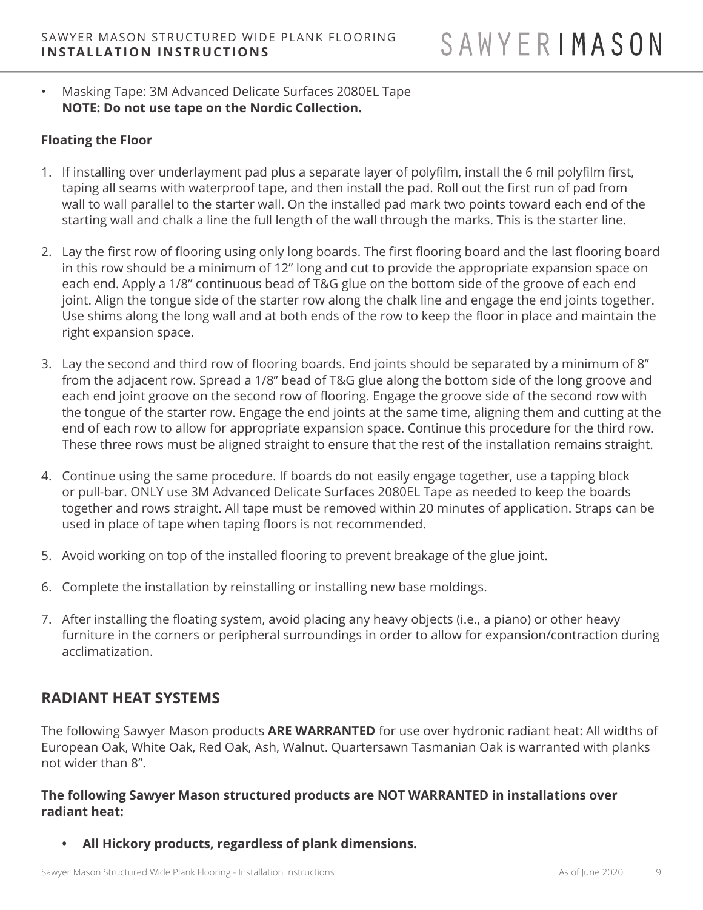• Masking Tape: 3M Advanced Delicate Surfaces 2080EL Tape **NOTE: Do not use tape on the Nordic Collection.** 

## **Floating the Floor**

- 1. If installing over underlayment pad plus a separate layer of polyfilm, install the 6 mil polyfilm first, taping all seams with waterproof tape, and then install the pad. Roll out the first run of pad from wall to wall parallel to the starter wall. On the installed pad mark two points toward each end of the starting wall and chalk a line the full length of the wall through the marks. This is the starter line.
- 2. Lay the first row of flooring using only long boards. The first flooring board and the last flooring board in this row should be a minimum of 12" long and cut to provide the appropriate expansion space on each end. Apply a 1/8" continuous bead of T&G glue on the bottom side of the groove of each end joint. Align the tongue side of the starter row along the chalk line and engage the end joints together. Use shims along the long wall and at both ends of the row to keep the floor in place and maintain the right expansion space.
- 3. Lay the second and third row of flooring boards. End joints should be separated by a minimum of 8" from the adjacent row. Spread a 1/8" bead of T&G glue along the bottom side of the long groove and each end joint groove on the second row of flooring. Engage the groove side of the second row with the tongue of the starter row. Engage the end joints at the same time, aligning them and cutting at the end of each row to allow for appropriate expansion space. Continue this procedure for the third row. These three rows must be aligned straight to ensure that the rest of the installation remains straight.
- 4. Continue using the same procedure. If boards do not easily engage together, use a tapping block or pull-bar. ONLY use 3M Advanced Delicate Surfaces 2080EL Tape as needed to keep the boards together and rows straight. All tape must be removed within 20 minutes of application. Straps can be used in place of tape when taping floors is not recommended.
- 5. Avoid working on top of the installed flooring to prevent breakage of the glue joint.
- 6. Complete the installation by reinstalling or installing new base moldings.
- 7. After installing the floating system, avoid placing any heavy objects (i.e., a piano) or other heavy furniture in the corners or peripheral surroundings in order to allow for expansion/contraction during acclimatization.

## **RADIANT HEAT SYSTEMS**

The following Sawyer Mason products **ARE WARRANTED** for use over hydronic radiant heat: All widths of European Oak, White Oak, Red Oak, Ash, Walnut. Quartersawn Tasmanian Oak is warranted with planks not wider than 8".

#### **The following Sawyer Mason structured products are NOT WARRANTED in installations over radiant heat:**

**• All Hickory products, regardless of plank dimensions.**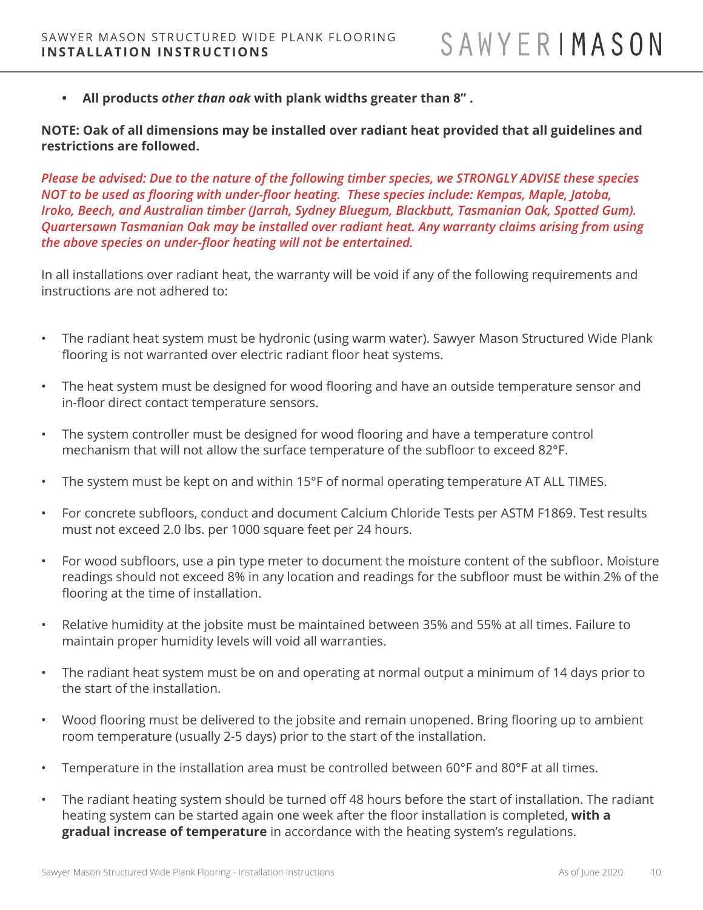**• All products** *other than oak* **with plank widths greater than 8" .** 

**NOTE: Oak of all dimensions may be installed over radiant heat provided that all guidelines and restrictions are followed.**

*Please be advised: Due to the nature of the following timber species, we STRONGLY ADVISE these species NOT to be used as flooring with under-floor heating. These species include: Kempas, Maple, Jatoba, Iroko, Beech, and Australian timber (Jarrah, Sydney Bluegum, Blackbutt, Tasmanian Oak, Spotted Gum). Quartersawn Tasmanian Oak may be installed over radiant heat. Any warranty claims arising from using the above species on under-floor heating will not be entertained.*

In all installations over radiant heat, the warranty will be void if any of the following requirements and instructions are not adhered to:

- The radiant heat system must be hydronic (using warm water). Sawyer Mason Structured Wide Plank flooring is not warranted over electric radiant floor heat systems.
- The heat system must be designed for wood flooring and have an outside temperature sensor and in-floor direct contact temperature sensors.
- The system controller must be designed for wood flooring and have a temperature control mechanism that will not allow the surface temperature of the subfloor to exceed 82°F.
- The system must be kept on and within 15°F of normal operating temperature AT ALL TIMES.
- For concrete subfloors, conduct and document Calcium Chloride Tests per ASTM F1869. Test results must not exceed 2.0 lbs. per 1000 square feet per 24 hours.
- For wood subfloors, use a pin type meter to document the moisture content of the subfloor. Moisture readings should not exceed 8% in any location and readings for the subfloor must be within 2% of the flooring at the time of installation.
- Relative humidity at the jobsite must be maintained between 35% and 55% at all times. Failure to maintain proper humidity levels will void all warranties.
- The radiant heat system must be on and operating at normal output a minimum of 14 days prior to the start of the installation.
- Wood flooring must be delivered to the jobsite and remain unopened. Bring flooring up to ambient room temperature (usually 2-5 days) prior to the start of the installation.
- Temperature in the installation area must be controlled between 60°F and 80°F at all times.
- The radiant heating system should be turned off 48 hours before the start of installation. The radiant heating system can be started again one week after the floor installation is completed, **with a gradual increase of temperature** in accordance with the heating system's regulations.